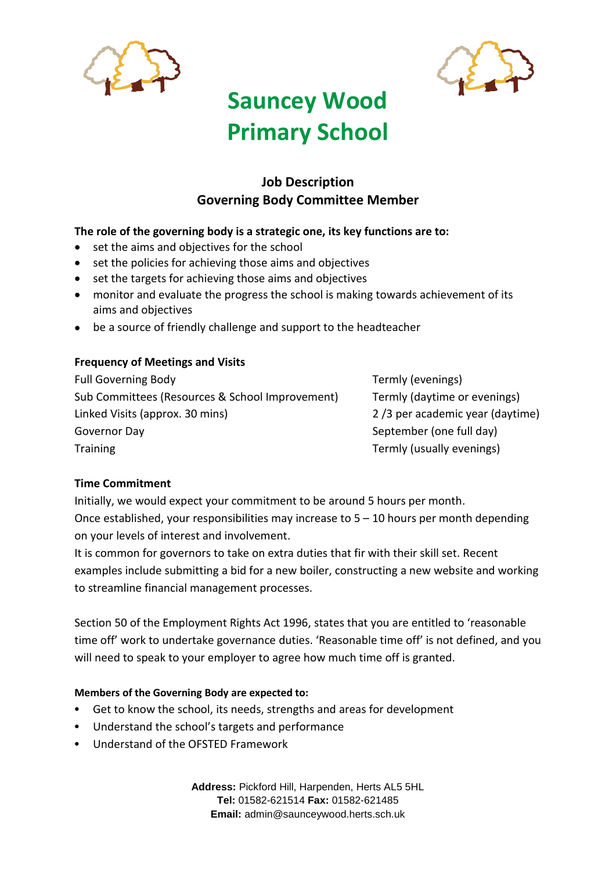



# **Sauncey Wood Primary School**

### **Job Description Governing Body Committee Member**

#### **The role of the governing body is a strategic one, its key functions are to:**

- set the aims and objectives for the school
- set the policies for achieving those aims and objectives
- set the targets for achieving those aims and objectives
- monitor and evaluate the progress the school is making towards achievement of its aims and objectives
- be a source of friendly challenge and support to the headteacher

#### **Frequency of Meetings and Visits**

Full Governing Body Termly (evenings) Sub Committees (Resources & School Improvement) Termly (daytime or evenings) Linked Visits (approx. 30 mins) 2 /3 per academic year (daytime) Governor Day September (one full day) Training Training Termly (usually evenings)

#### **Time Commitment**

Initially, we would expect your commitment to be around 5 hours per month. Once established, your responsibilities may increase to  $5 - 10$  hours per month depending on your levels of interest and involvement.

It is common for governors to take on extra duties that fir with their skill set. Recent examples include submitting a bid for a new boiler, constructing a new website and working to streamline financial management processes.

Section 50 of the Employment Rights Act 1996, states that you are entitled to 'reasonable time off' work to undertake governance duties. 'Reasonable time off' is not defined, and you will need to speak to your employer to agree how much time off is granted.

#### **Members of the Governing Body are expected to:**

- Get to know the school, its needs, strengths and areas for development
- Understand the school's targets and performance
- Understand of the OFSTED Framework

**Address:** Pickford Hill, Harpenden, Herts AL5 5HL **Tel:** 01582-621514 **Fax:** 01582-621485 **Email:** admin@saunceywood.herts.sch.uk